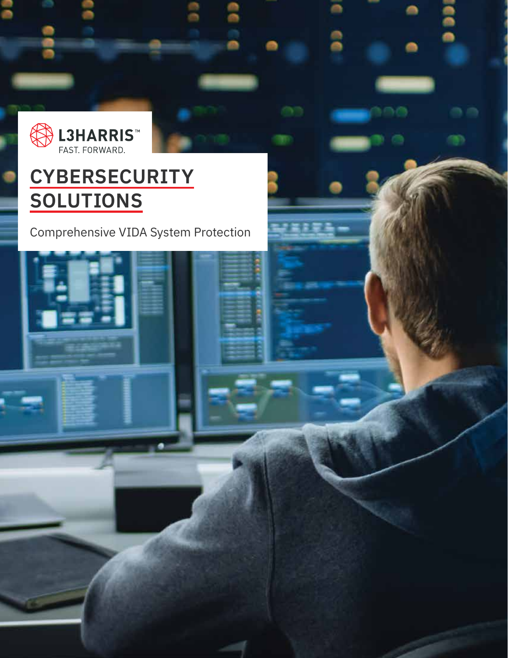

# **CYBERSECURITY SOLUTIONS**

Comprehensive VIDA System Protection

n,

도 모네

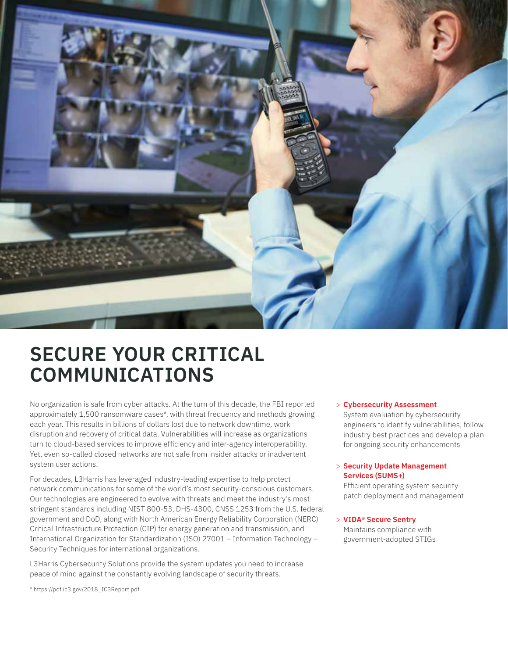

## **SECURE YOUR CRITICAL COMMUNICATIONS**

No organization is safe from cyber attacks. At the turn of this decade, the FBI reported approximately 1,500 ransomware cases\*, with threat frequency and methods growing each year. This results in billions of dollars lost due to network downtime, work disruption and recovery of critical data. Vulnerabilities will increase as organizations turn to cloud-based services to improve efficiency and inter-agency interoperability. Yet, even so-called closed networks are not safe from insider attacks or inadvertent system user actions.

For decades, L3Harris has leveraged industry-leading expertise to help protect network communications for some of the world's most security-conscious customers. Our technologies are engineered to evolve with threats and meet the industry's most stringent standards including NIST 800-53, DHS-4300, CNSS 1253 from the U.S. federal government and DoD, along with North American Energy Reliability Corporation (NERC) Critical Infrastructure Protection (CIP) for energy generation and transmission, and International Organization for Standardization (ISO) 27001 – Information Technology – Security Techniques for international organizations.

L3Harris Cybersecurity Solutions provide the system updates you need to increase peace of mind against the constantly evolving landscape of security threats.

> **Cybersecurity Assessment**

System evaluation by cybersecurity engineers to identify vulnerabilities, follow industry best practices and develop a plan for ongoing security enhancements

### > **Security Update Management Services (SUMS+)**

Efficient operating system security patch deployment and management

> **VIDA® Secure Sentry** Maintains compliance with government-adopted STIGs

\* https://pdf.ic3.gov/2018\_IC3Report.pdf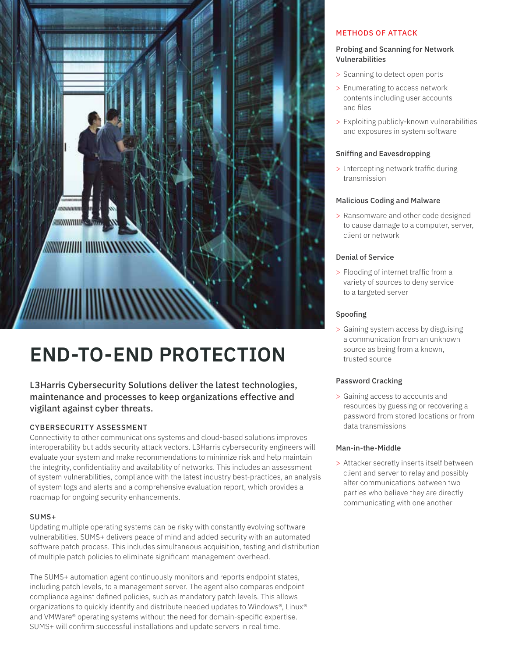

# **END-TO-END PROTECTION**

### L3Harris Cybersecurity Solutions deliver the latest technologies, maintenance and processes to keep organizations effective and vigilant against cyber threats.

### CYBERSECURITY ASSESSMENT

Connectivity to other communications systems and cloud-based solutions improves interoperability but adds security attack vectors. L3Harris cybersecurity engineers will evaluate your system and make recommendations to minimize risk and help maintain the integrity, confidentiality and availability of networks. This includes an assessment of system vulnerabilities, compliance with the latest industry best-practices, an analysis of system logs and alerts and a comprehensive evaluation report, which provides a roadmap for ongoing security enhancements.

### SUMS+

Updating multiple operating systems can be risky with constantly evolving software vulnerabilities. SUMS+ delivers peace of mind and added security with an automated software patch process. This includes simultaneous acquisition, testing and distribution of multiple patch policies to eliminate significant management overhead.

The SUMS+ automation agent continuously monitors and reports endpoint states, including patch levels, to a management server. The agent also compares endpoint compliance against defined policies, such as mandatory patch levels. This allows organizations to quickly identify and distribute needed updates to Windows®, Linux® and VMWare® operating systems without the need for domain-specific expertise. SUMS+ will confirm successful installations and update servers in real time.

### METHODS OF ATTACK

### Probing and Scanning for Network Vulnerabilities

- > Scanning to detect open ports
- > Enumerating to access network contents including user accounts and files
- > Exploiting publicly-known vulnerabilities and exposures in system software

### Sniffing and Eavesdropping

> Intercepting network traffic during transmission

### Malicious Coding and Malware

> Ransomware and other code designed to cause damage to a computer, server, client or network

### Denial of Service

> Flooding of internet traffic from a variety of sources to deny service to a targeted server

### Spoofing

> Gaining system access by disguising a communication from an unknown source as being from a known, trusted source

### Password Cracking

> Gaining access to accounts and resources by guessing or recovering a password from stored locations or from data transmissions

### Man-in-the-Middle

> Attacker secretly inserts itself between client and server to relay and possibly alter communications between two parties who believe they are directly communicating with one another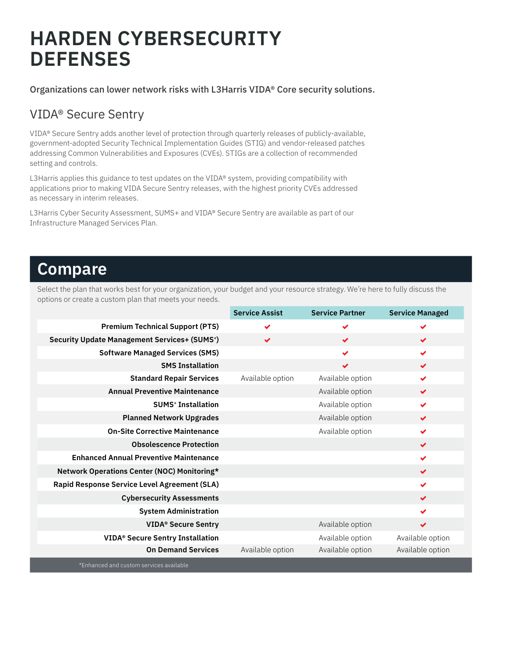# **HARDEN CYBERSECURITY DEFENSES**

Organizations can lower network risks with L3Harris VIDA® Core security solutions.

### VIDA® Secure Sentry

VIDA® Secure Sentry adds another level of protection through quarterly releases of publicly-available, government-adopted Security Technical Implementation Guides (STIG) and vendor-released patches addressing Common Vulnerabilities and Exposures (CVEs). STIGs are a collection of recommended setting and controls.

L3Harris applies this guidance to test updates on the VIDA® system, providing compatibility with applications prior to making VIDA Secure Sentry releases, with the highest priority CVEs addressed as necessary in interim releases.

L3Harris Cyber Security Assessment, SUMS+ and VIDA® Secure Sentry are available as part of our Infrastructure Managed Services Plan.

### **Compare**

Select the plan that works best for your organization, your budget and your resource strategy. We're here to fully discuss the options or create a custom plan that meets your needs.

|                                                                | <b>Service Assist</b> | <b>Service Partner</b> | <b>Service Managed</b> |
|----------------------------------------------------------------|-----------------------|------------------------|------------------------|
| <b>Premium Technical Support (PTS)</b>                         | ✔                     |                        |                        |
| <b>Security Update Management Services+ (SUMS<sup>+</sup>)</b> | $\checkmark$          | $\checkmark$           | $\checkmark$           |
| <b>Software Managed Services (SMS)</b>                         |                       | ✔                      | $\checkmark$           |
| <b>SMS Installation</b>                                        |                       | $\checkmark$           | $\checkmark$           |
| <b>Standard Repair Services</b>                                | Available option      | Available option       | $\checkmark$           |
| <b>Annual Preventive Maintenance</b>                           |                       | Available option       | $\checkmark$           |
| <b>SUMS<sup>+</sup></b> Installation                           |                       | Available option       | $\checkmark$           |
| <b>Planned Network Upgrades</b>                                |                       | Available option       | $\checkmark$           |
| <b>On-Site Corrective Maintenance</b>                          |                       | Available option       | $\checkmark$           |
| <b>Obsolescence Protection</b>                                 |                       |                        | $\checkmark$           |
| <b>Enhanced Annual Preventive Maintenance</b>                  |                       |                        | $\checkmark$           |
| Network Operations Center (NOC) Monitoring*                    |                       |                        | $\checkmark$           |
| Rapid Response Service Level Agreement (SLA)                   |                       |                        | $\checkmark$           |
| <b>Cybersecurity Assessments</b>                               |                       |                        | $\checkmark$           |
| <b>System Administration</b>                                   |                       |                        | $\checkmark$           |
| <b>VIDA® Secure Sentry</b>                                     |                       | Available option       | $\checkmark$           |
| <b>VIDA® Secure Sentry Installation</b>                        |                       | Available option       | Available option       |
| <b>On Demand Services</b>                                      | Available option      | Available option       | Available option       |

\*Enhanced and custom services available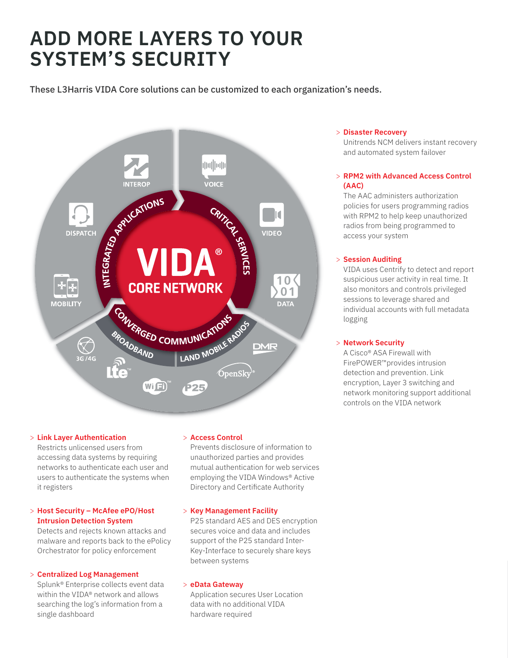# **ADD MORE LAYERS TO YOUR SYSTEM'S SECURITY**

These L3Harris VIDA Core solutions can be customized to each organization's needs.



### > **Link Layer Authentication**

Restricts unlicensed users from accessing data systems by requiring networks to authenticate each user and users to authenticate the systems when it registers

### > **Host Security – McAfee ePO/Host Intrusion Detection System**

Detects and rejects known attacks and malware and reports back to the ePolicy Orchestrator for policy enforcement

### > **Centralized Log Management**

Splunk® Enterprise collects event data within the VIDA® network and allows searching the log's information from a single dashboard

### > **Access Control**

Prevents disclosure of information to unauthorized parties and provides mutual authentication for web services employing the VIDA Windows® Active Directory and Certificate Authority

### > **Key Management Facility**

P25 standard AES and DES encryption secures voice and data and includes support of the P25 standard Inter-Key-Interface to securely share keys between systems

### > **eData Gateway**

Application secures User Location data with no additional VIDA hardware required

### > **Disaster Recovery**

Unitrends NCM delivers instant recovery and automated system failover

### > **RPM2 with Advanced Access Control (AAC)**

The AAC administers authorization policies for users programming radios with RPM2 to help keep unauthorized radios from being programmed to access your system

### > **Session Auditing**

VIDA uses Centrify to detect and report suspicious user activity in real time. It also monitors and controls privileged sessions to leverage shared and individual accounts with full metadata logging

### > **Network Security**

A Cisco® ASA Firewall with FirePOWER™provides intrusion detection and prevention. Link encryption, Layer 3 switching and network monitoring support additional controls on the VIDA network